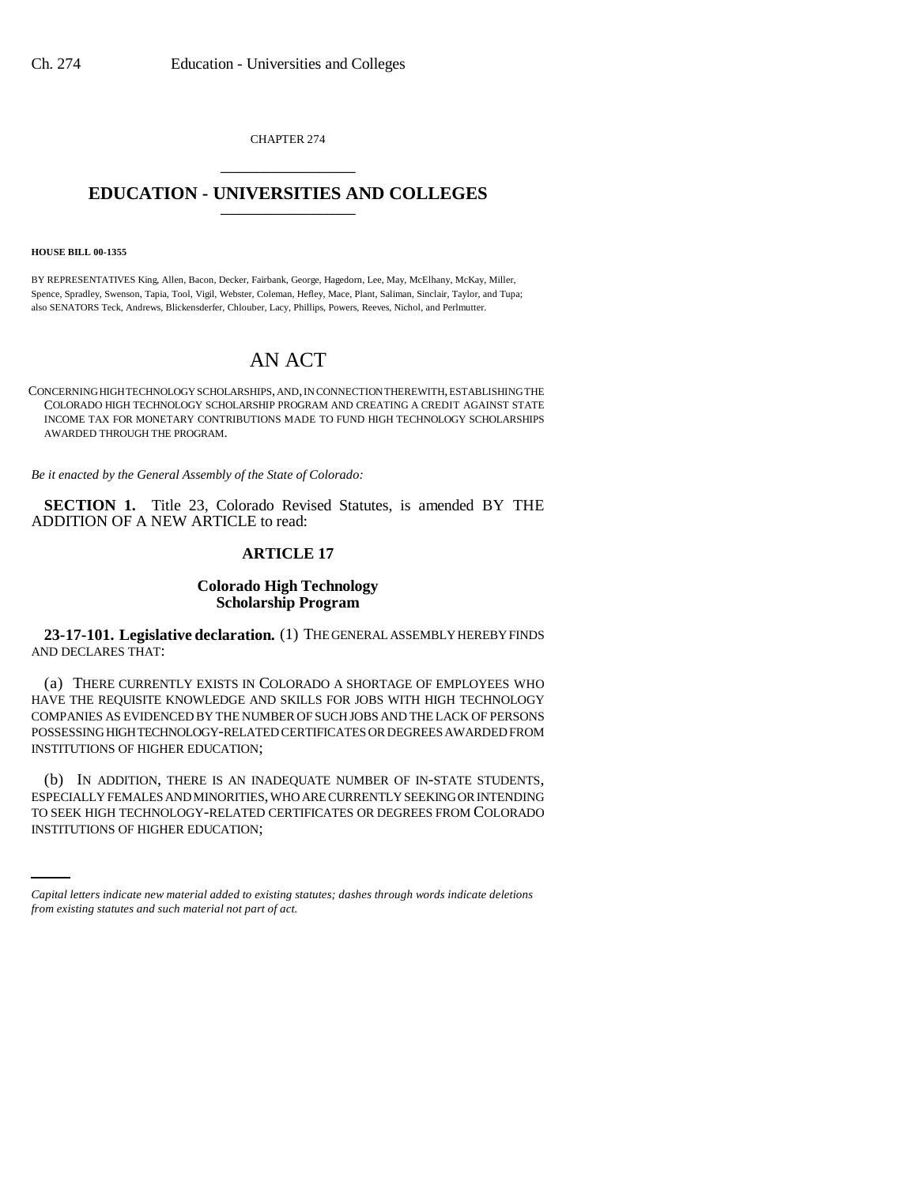CHAPTER 274 \_\_\_\_\_\_\_\_\_\_\_\_\_\_\_

## **EDUCATION - UNIVERSITIES AND COLLEGES** \_\_\_\_\_\_\_\_\_\_\_\_\_\_\_

#### **HOUSE BILL 00-1355**

BY REPRESENTATIVES King, Allen, Bacon, Decker, Fairbank, George, Hagedorn, Lee, May, McElhany, McKay, Miller, Spence, Spradley, Swenson, Tapia, Tool, Vigil, Webster, Coleman, Hefley, Mace, Plant, Saliman, Sinclair, Taylor, and Tupa; also SENATORS Teck, Andrews, Blickensderfer, Chlouber, Lacy, Phillips, Powers, Reeves, Nichol, and Perlmutter.

# AN ACT

CONCERNING HIGH TECHNOLOGY SCHOLARSHIPS, AND, IN CONNECTION THEREWITH, ESTABLISHING THE COLORADO HIGH TECHNOLOGY SCHOLARSHIP PROGRAM AND CREATING A CREDIT AGAINST STATE INCOME TAX FOR MONETARY CONTRIBUTIONS MADE TO FUND HIGH TECHNOLOGY SCHOLARSHIPS AWARDED THROUGH THE PROGRAM.

*Be it enacted by the General Assembly of the State of Colorado:*

**SECTION 1.** Title 23, Colorado Revised Statutes, is amended BY THE ADDITION OF A NEW ARTICLE to read:

### **ARTICLE 17**

### **Colorado High Technology Scholarship Program**

**23-17-101. Legislative declaration.** (1) THE GENERAL ASSEMBLY HEREBY FINDS AND DECLARES THAT:

(a) THERE CURRENTLY EXISTS IN COLORADO A SHORTAGE OF EMPLOYEES WHO HAVE THE REQUISITE KNOWLEDGE AND SKILLS FOR JOBS WITH HIGH TECHNOLOGY COMPANIES AS EVIDENCED BY THE NUMBER OF SUCH JOBS AND THE LACK OF PERSONS POSSESSING HIGH TECHNOLOGY-RELATED CERTIFICATES OR DEGREES AWARDED FROM INSTITUTIONS OF HIGHER EDUCATION;

ESPECIALLY FEMALES AND MINORITIES, WHO ARE CURRENTLY SEEKING OR INTENDING (b) IN ADDITION, THERE IS AN INADEQUATE NUMBER OF IN-STATE STUDENTS, TO SEEK HIGH TECHNOLOGY-RELATED CERTIFICATES OR DEGREES FROM COLORADO INSTITUTIONS OF HIGHER EDUCATION;

*Capital letters indicate new material added to existing statutes; dashes through words indicate deletions from existing statutes and such material not part of act.*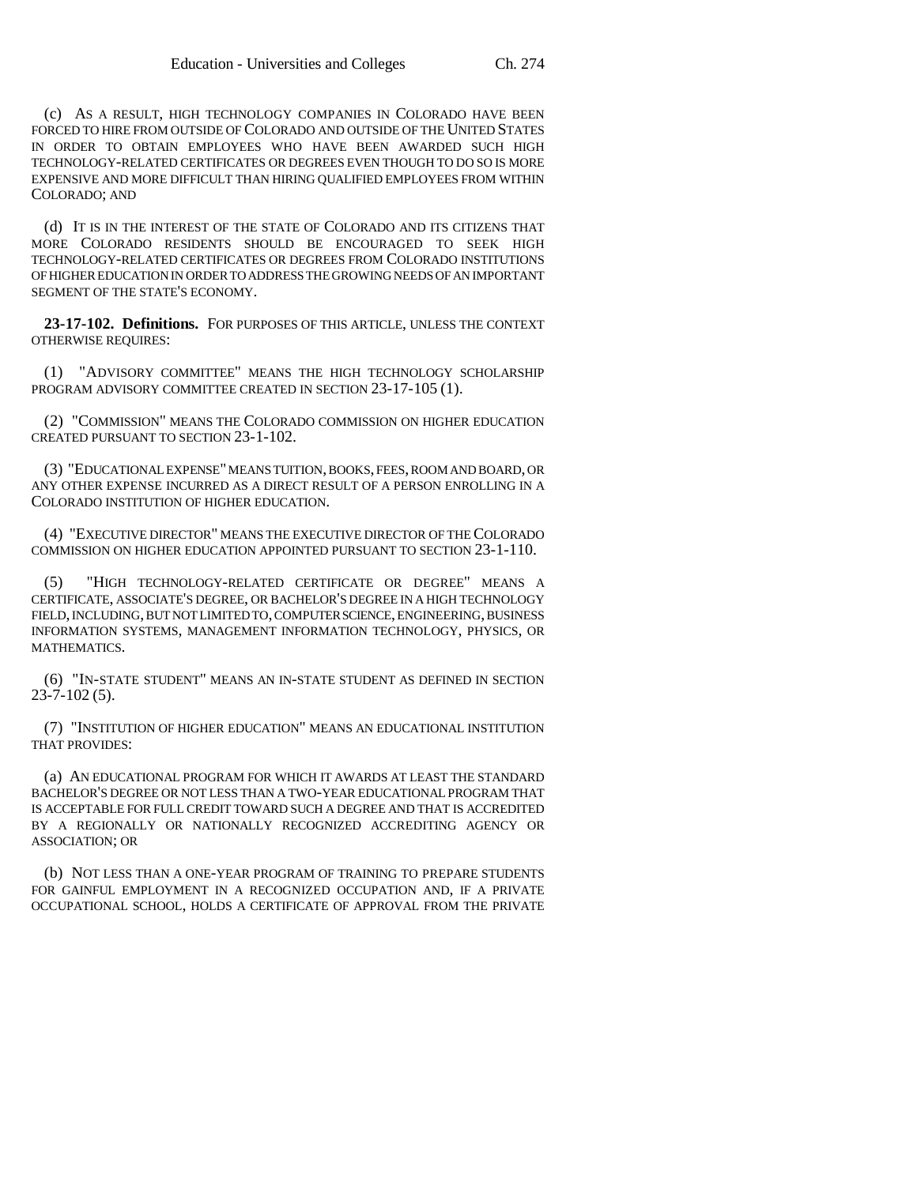(c) AS A RESULT, HIGH TECHNOLOGY COMPANIES IN COLORADO HAVE BEEN FORCED TO HIRE FROM OUTSIDE OF COLORADO AND OUTSIDE OF THE UNITED STATES IN ORDER TO OBTAIN EMPLOYEES WHO HAVE BEEN AWARDED SUCH HIGH TECHNOLOGY-RELATED CERTIFICATES OR DEGREES EVEN THOUGH TO DO SO IS MORE EXPENSIVE AND MORE DIFFICULT THAN HIRING QUALIFIED EMPLOYEES FROM WITHIN COLORADO; AND

(d) IT IS IN THE INTEREST OF THE STATE OF COLORADO AND ITS CITIZENS THAT MORE COLORADO RESIDENTS SHOULD BE ENCOURAGED TO SEEK HIGH TECHNOLOGY-RELATED CERTIFICATES OR DEGREES FROM COLORADO INSTITUTIONS OF HIGHER EDUCATION IN ORDER TO ADDRESS THE GROWING NEEDS OF AN IMPORTANT SEGMENT OF THE STATE'S ECONOMY.

**23-17-102. Definitions.** FOR PURPOSES OF THIS ARTICLE, UNLESS THE CONTEXT OTHERWISE REQUIRES:

(1) "ADVISORY COMMITTEE" MEANS THE HIGH TECHNOLOGY SCHOLARSHIP PROGRAM ADVISORY COMMITTEE CREATED IN SECTION 23-17-105 (1).

(2) "COMMISSION" MEANS THE COLORADO COMMISSION ON HIGHER EDUCATION CREATED PURSUANT TO SECTION 23-1-102.

(3) "EDUCATIONAL EXPENSE" MEANS TUITION, BOOKS, FEES, ROOM AND BOARD, OR ANY OTHER EXPENSE INCURRED AS A DIRECT RESULT OF A PERSON ENROLLING IN A COLORADO INSTITUTION OF HIGHER EDUCATION.

(4) "EXECUTIVE DIRECTOR" MEANS THE EXECUTIVE DIRECTOR OF THE COLORADO COMMISSION ON HIGHER EDUCATION APPOINTED PURSUANT TO SECTION 23-1-110.

(5) "HIGH TECHNOLOGY-RELATED CERTIFICATE OR DEGREE" MEANS A CERTIFICATE, ASSOCIATE'S DEGREE, OR BACHELOR'S DEGREE IN A HIGH TECHNOLOGY FIELD, INCLUDING, BUT NOT LIMITED TO, COMPUTER SCIENCE, ENGINEERING, BUSINESS INFORMATION SYSTEMS, MANAGEMENT INFORMATION TECHNOLOGY, PHYSICS, OR MATHEMATICS.

(6) "IN-STATE STUDENT" MEANS AN IN-STATE STUDENT AS DEFINED IN SECTION  $23 - 7 - 102(5)$ .

(7) "INSTITUTION OF HIGHER EDUCATION" MEANS AN EDUCATIONAL INSTITUTION THAT PROVIDES:

(a) AN EDUCATIONAL PROGRAM FOR WHICH IT AWARDS AT LEAST THE STANDARD BACHELOR'S DEGREE OR NOT LESS THAN A TWO-YEAR EDUCATIONAL PROGRAM THAT IS ACCEPTABLE FOR FULL CREDIT TOWARD SUCH A DEGREE AND THAT IS ACCREDITED BY A REGIONALLY OR NATIONALLY RECOGNIZED ACCREDITING AGENCY OR ASSOCIATION; OR

(b) NOT LESS THAN A ONE-YEAR PROGRAM OF TRAINING TO PREPARE STUDENTS FOR GAINFUL EMPLOYMENT IN A RECOGNIZED OCCUPATION AND, IF A PRIVATE OCCUPATIONAL SCHOOL, HOLDS A CERTIFICATE OF APPROVAL FROM THE PRIVATE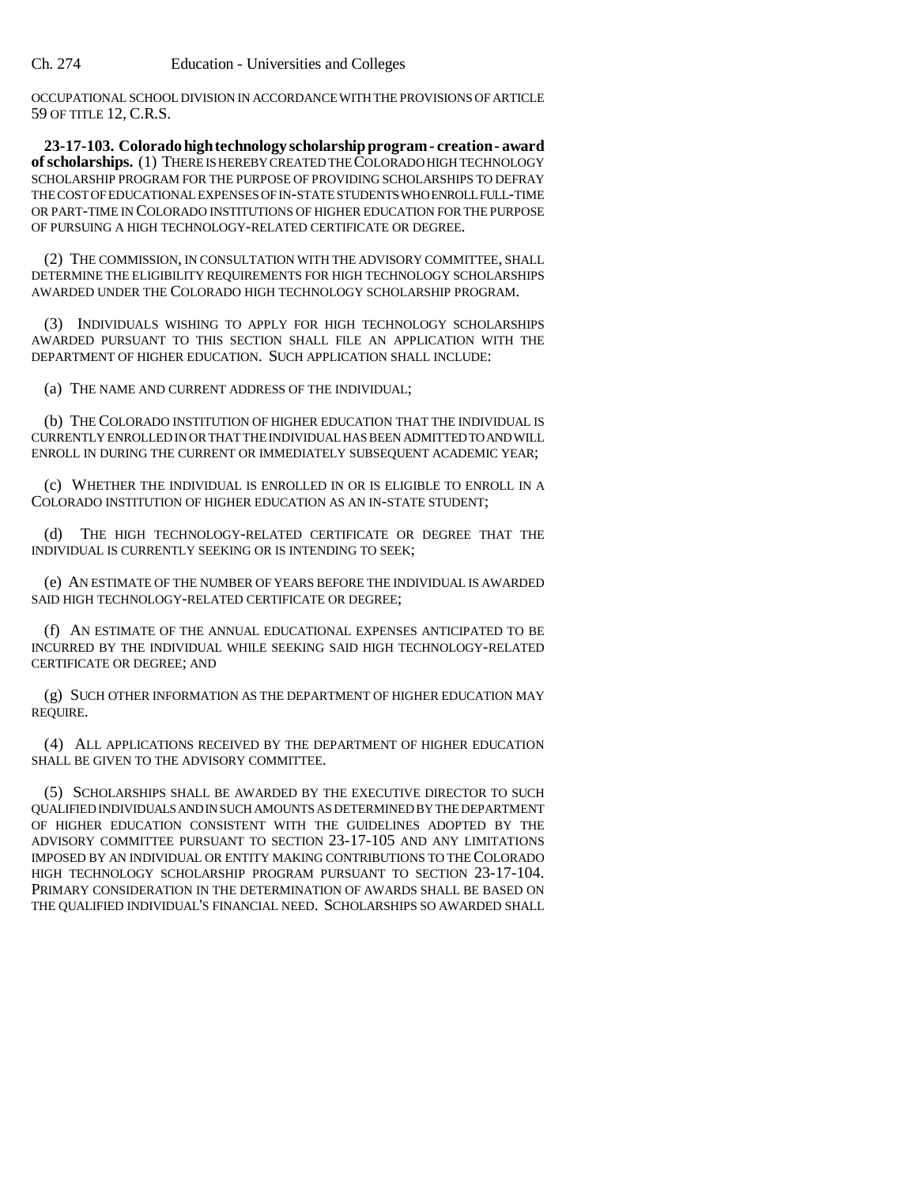OCCUPATIONAL SCHOOL DIVISION IN ACCORDANCE WITH THE PROVISIONS OF ARTICLE 59 OF TITLE 12, C.R.S.

**23-17-103. Colorado high technology scholarship program - creation - award of scholarships.** (1) THERE IS HEREBY CREATED THE COLORADO HIGH TECHNOLOGY SCHOLARSHIP PROGRAM FOR THE PURPOSE OF PROVIDING SCHOLARSHIPS TO DEFRAY THE COST OF EDUCATIONAL EXPENSES OF IN-STATE STUDENTS WHO ENROLL FULL-TIME OR PART-TIME IN COLORADO INSTITUTIONS OF HIGHER EDUCATION FOR THE PURPOSE OF PURSUING A HIGH TECHNOLOGY-RELATED CERTIFICATE OR DEGREE.

(2) THE COMMISSION, IN CONSULTATION WITH THE ADVISORY COMMITTEE, SHALL DETERMINE THE ELIGIBILITY REQUIREMENTS FOR HIGH TECHNOLOGY SCHOLARSHIPS AWARDED UNDER THE COLORADO HIGH TECHNOLOGY SCHOLARSHIP PROGRAM.

(3) INDIVIDUALS WISHING TO APPLY FOR HIGH TECHNOLOGY SCHOLARSHIPS AWARDED PURSUANT TO THIS SECTION SHALL FILE AN APPLICATION WITH THE DEPARTMENT OF HIGHER EDUCATION. SUCH APPLICATION SHALL INCLUDE:

(a) THE NAME AND CURRENT ADDRESS OF THE INDIVIDUAL;

(b) THE COLORADO INSTITUTION OF HIGHER EDUCATION THAT THE INDIVIDUAL IS CURRENTLY ENROLLED IN OR THAT THE INDIVIDUAL HAS BEEN ADMITTED TO AND WILL ENROLL IN DURING THE CURRENT OR IMMEDIATELY SUBSEQUENT ACADEMIC YEAR;

(c) WHETHER THE INDIVIDUAL IS ENROLLED IN OR IS ELIGIBLE TO ENROLL IN A COLORADO INSTITUTION OF HIGHER EDUCATION AS AN IN-STATE STUDENT;

(d) THE HIGH TECHNOLOGY-RELATED CERTIFICATE OR DEGREE THAT THE INDIVIDUAL IS CURRENTLY SEEKING OR IS INTENDING TO SEEK;

(e) AN ESTIMATE OF THE NUMBER OF YEARS BEFORE THE INDIVIDUAL IS AWARDED SAID HIGH TECHNOLOGY-RELATED CERTIFICATE OR DEGREE;

(f) AN ESTIMATE OF THE ANNUAL EDUCATIONAL EXPENSES ANTICIPATED TO BE INCURRED BY THE INDIVIDUAL WHILE SEEKING SAID HIGH TECHNOLOGY-RELATED CERTIFICATE OR DEGREE; AND

(g) SUCH OTHER INFORMATION AS THE DEPARTMENT OF HIGHER EDUCATION MAY REQUIRE.

(4) ALL APPLICATIONS RECEIVED BY THE DEPARTMENT OF HIGHER EDUCATION SHALL BE GIVEN TO THE ADVISORY COMMITTEE.

(5) SCHOLARSHIPS SHALL BE AWARDED BY THE EXECUTIVE DIRECTOR TO SUCH QUALIFIED INDIVIDUALS AND IN SUCH AMOUNTS AS DETERMINED BY THE DEPARTMENT OF HIGHER EDUCATION CONSISTENT WITH THE GUIDELINES ADOPTED BY THE ADVISORY COMMITTEE PURSUANT TO SECTION 23-17-105 AND ANY LIMITATIONS IMPOSED BY AN INDIVIDUAL OR ENTITY MAKING CONTRIBUTIONS TO THE COLORADO HIGH TECHNOLOGY SCHOLARSHIP PROGRAM PURSUANT TO SECTION 23-17-104. PRIMARY CONSIDERATION IN THE DETERMINATION OF AWARDS SHALL BE BASED ON THE QUALIFIED INDIVIDUAL'S FINANCIAL NEED. SCHOLARSHIPS SO AWARDED SHALL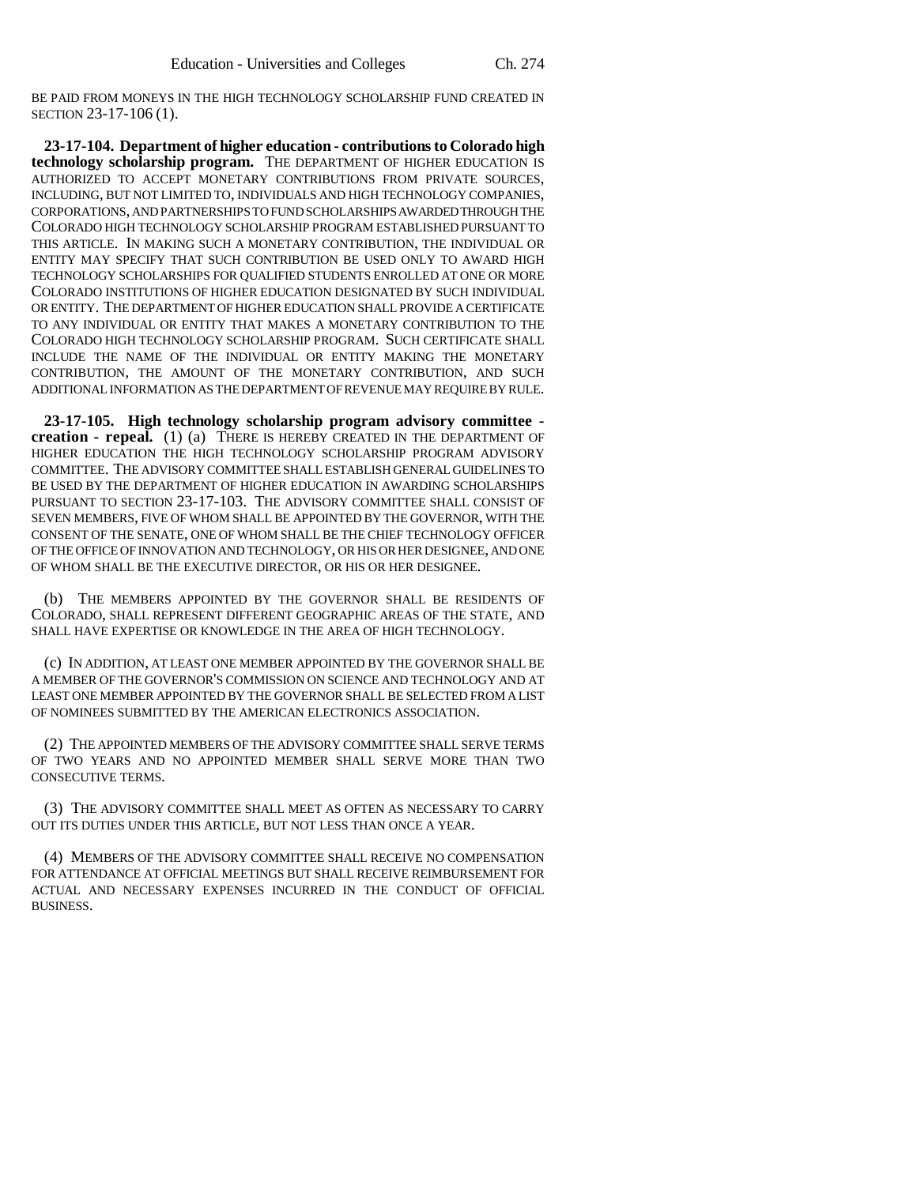BE PAID FROM MONEYS IN THE HIGH TECHNOLOGY SCHOLARSHIP FUND CREATED IN SECTION 23-17-106 (1).

**23-17-104. Department of higher education - contributions to Colorado high technology scholarship program.** THE DEPARTMENT OF HIGHER EDUCATION IS AUTHORIZED TO ACCEPT MONETARY CONTRIBUTIONS FROM PRIVATE SOURCES, INCLUDING, BUT NOT LIMITED TO, INDIVIDUALS AND HIGH TECHNOLOGY COMPANIES, CORPORATIONS, AND PARTNERSHIPS TO FUND SCHOLARSHIPS AWARDED THROUGH THE COLORADO HIGH TECHNOLOGY SCHOLARSHIP PROGRAM ESTABLISHED PURSUANT TO THIS ARTICLE. IN MAKING SUCH A MONETARY CONTRIBUTION, THE INDIVIDUAL OR ENTITY MAY SPECIFY THAT SUCH CONTRIBUTION BE USED ONLY TO AWARD HIGH TECHNOLOGY SCHOLARSHIPS FOR QUALIFIED STUDENTS ENROLLED AT ONE OR MORE COLORADO INSTITUTIONS OF HIGHER EDUCATION DESIGNATED BY SUCH INDIVIDUAL OR ENTITY. THE DEPARTMENT OF HIGHER EDUCATION SHALL PROVIDE A CERTIFICATE TO ANY INDIVIDUAL OR ENTITY THAT MAKES A MONETARY CONTRIBUTION TO THE COLORADO HIGH TECHNOLOGY SCHOLARSHIP PROGRAM. SUCH CERTIFICATE SHALL INCLUDE THE NAME OF THE INDIVIDUAL OR ENTITY MAKING THE MONETARY CONTRIBUTION, THE AMOUNT OF THE MONETARY CONTRIBUTION, AND SUCH ADDITIONAL INFORMATION AS THE DEPARTMENT OF REVENUE MAY REQUIRE BY RULE.

**23-17-105. High technology scholarship program advisory committee creation - repeal.** (1) (a) THERE IS HEREBY CREATED IN THE DEPARTMENT OF HIGHER EDUCATION THE HIGH TECHNOLOGY SCHOLARSHIP PROGRAM ADVISORY COMMITTEE. THE ADVISORY COMMITTEE SHALL ESTABLISH GENERAL GUIDELINES TO BE USED BY THE DEPARTMENT OF HIGHER EDUCATION IN AWARDING SCHOLARSHIPS PURSUANT TO SECTION 23-17-103. THE ADVISORY COMMITTEE SHALL CONSIST OF SEVEN MEMBERS, FIVE OF WHOM SHALL BE APPOINTED BY THE GOVERNOR, WITH THE CONSENT OF THE SENATE, ONE OF WHOM SHALL BE THE CHIEF TECHNOLOGY OFFICER OF THE OFFICE OF INNOVATION AND TECHNOLOGY, OR HIS OR HER DESIGNEE, AND ONE OF WHOM SHALL BE THE EXECUTIVE DIRECTOR, OR HIS OR HER DESIGNEE.

(b) THE MEMBERS APPOINTED BY THE GOVERNOR SHALL BE RESIDENTS OF COLORADO, SHALL REPRESENT DIFFERENT GEOGRAPHIC AREAS OF THE STATE, AND SHALL HAVE EXPERTISE OR KNOWLEDGE IN THE AREA OF HIGH TECHNOLOGY.

(c) IN ADDITION, AT LEAST ONE MEMBER APPOINTED BY THE GOVERNOR SHALL BE A MEMBER OF THE GOVERNOR'S COMMISSION ON SCIENCE AND TECHNOLOGY AND AT LEAST ONE MEMBER APPOINTED BY THE GOVERNOR SHALL BE SELECTED FROM A LIST OF NOMINEES SUBMITTED BY THE AMERICAN ELECTRONICS ASSOCIATION.

(2) THE APPOINTED MEMBERS OF THE ADVISORY COMMITTEE SHALL SERVE TERMS OF TWO YEARS AND NO APPOINTED MEMBER SHALL SERVE MORE THAN TWO CONSECUTIVE TERMS.

(3) THE ADVISORY COMMITTEE SHALL MEET AS OFTEN AS NECESSARY TO CARRY OUT ITS DUTIES UNDER THIS ARTICLE, BUT NOT LESS THAN ONCE A YEAR.

(4) MEMBERS OF THE ADVISORY COMMITTEE SHALL RECEIVE NO COMPENSATION FOR ATTENDANCE AT OFFICIAL MEETINGS BUT SHALL RECEIVE REIMBURSEMENT FOR ACTUAL AND NECESSARY EXPENSES INCURRED IN THE CONDUCT OF OFFICIAL BUSINESS.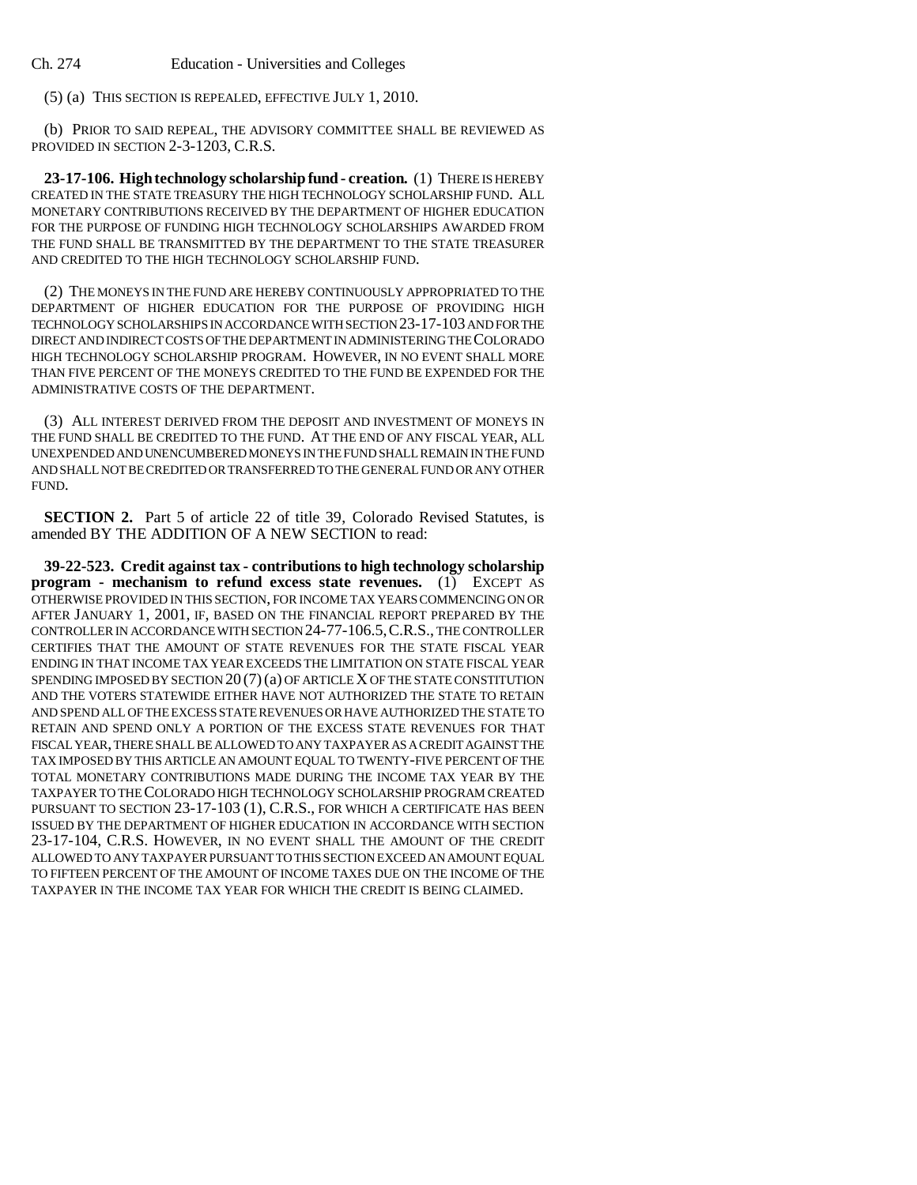(5) (a) THIS SECTION IS REPEALED, EFFECTIVE JULY 1, 2010.

(b) PRIOR TO SAID REPEAL, THE ADVISORY COMMITTEE SHALL BE REVIEWED AS PROVIDED IN SECTION 2-3-1203, C.R.S.

**23-17-106. High technology scholarship fund - creation.** (1) THERE IS HEREBY CREATED IN THE STATE TREASURY THE HIGH TECHNOLOGY SCHOLARSHIP FUND. ALL MONETARY CONTRIBUTIONS RECEIVED BY THE DEPARTMENT OF HIGHER EDUCATION FOR THE PURPOSE OF FUNDING HIGH TECHNOLOGY SCHOLARSHIPS AWARDED FROM THE FUND SHALL BE TRANSMITTED BY THE DEPARTMENT TO THE STATE TREASURER AND CREDITED TO THE HIGH TECHNOLOGY SCHOLARSHIP FUND.

(2) THE MONEYS IN THE FUND ARE HEREBY CONTINUOUSLY APPROPRIATED TO THE DEPARTMENT OF HIGHER EDUCATION FOR THE PURPOSE OF PROVIDING HIGH TECHNOLOGY SCHOLARSHIPS IN ACCORDANCE WITH SECTION 23-17-103 AND FOR THE DIRECT AND INDIRECT COSTS OF THE DEPARTMENT IN ADMINISTERING THE COLORADO HIGH TECHNOLOGY SCHOLARSHIP PROGRAM. HOWEVER, IN NO EVENT SHALL MORE THAN FIVE PERCENT OF THE MONEYS CREDITED TO THE FUND BE EXPENDED FOR THE ADMINISTRATIVE COSTS OF THE DEPARTMENT.

(3) ALL INTEREST DERIVED FROM THE DEPOSIT AND INVESTMENT OF MONEYS IN THE FUND SHALL BE CREDITED TO THE FUND. AT THE END OF ANY FISCAL YEAR, ALL UNEXPENDED AND UNENCUMBERED MONEYS IN THE FUND SHALL REMAIN IN THE FUND AND SHALL NOT BE CREDITED OR TRANSFERRED TO THE GENERAL FUND OR ANY OTHER FUND.

**SECTION 2.** Part 5 of article 22 of title 39, Colorado Revised Statutes, is amended BY THE ADDITION OF A NEW SECTION to read:

**39-22-523. Credit against tax - contributions to high technology scholarship program - mechanism to refund excess state revenues.** (1) EXCEPT AS OTHERWISE PROVIDED IN THIS SECTION, FOR INCOME TAX YEARS COMMENCING ON OR AFTER JANUARY 1, 2001, IF, BASED ON THE FINANCIAL REPORT PREPARED BY THE CONTROLLER IN ACCORDANCE WITH SECTION 24-77-106.5,C.R.S., THE CONTROLLER CERTIFIES THAT THE AMOUNT OF STATE REVENUES FOR THE STATE FISCAL YEAR ENDING IN THAT INCOME TAX YEAR EXCEEDS THE LIMITATION ON STATE FISCAL YEAR SPENDING IMPOSED BY SECTION 20 (7)(a) OF ARTICLE X OF THE STATE CONSTITUTION AND THE VOTERS STATEWIDE EITHER HAVE NOT AUTHORIZED THE STATE TO RETAIN AND SPEND ALL OF THE EXCESS STATE REVENUES OR HAVE AUTHORIZED THE STATE TO RETAIN AND SPEND ONLY A PORTION OF THE EXCESS STATE REVENUES FOR THAT FISCAL YEAR, THERE SHALL BE ALLOWED TO ANY TAXPAYER AS A CREDIT AGAINST THE TAX IMPOSED BY THIS ARTICLE AN AMOUNT EQUAL TO TWENTY-FIVE PERCENT OF THE TOTAL MONETARY CONTRIBUTIONS MADE DURING THE INCOME TAX YEAR BY THE TAXPAYER TO THE COLORADO HIGH TECHNOLOGY SCHOLARSHIP PROGRAM CREATED PURSUANT TO SECTION 23-17-103 (1), C.R.S., FOR WHICH A CERTIFICATE HAS BEEN ISSUED BY THE DEPARTMENT OF HIGHER EDUCATION IN ACCORDANCE WITH SECTION 23-17-104, C.R.S. HOWEVER, IN NO EVENT SHALL THE AMOUNT OF THE CREDIT ALLOWED TO ANY TAXPAYER PURSUANT TO THIS SECTION EXCEED AN AMOUNT EQUAL TO FIFTEEN PERCENT OF THE AMOUNT OF INCOME TAXES DUE ON THE INCOME OF THE TAXPAYER IN THE INCOME TAX YEAR FOR WHICH THE CREDIT IS BEING CLAIMED.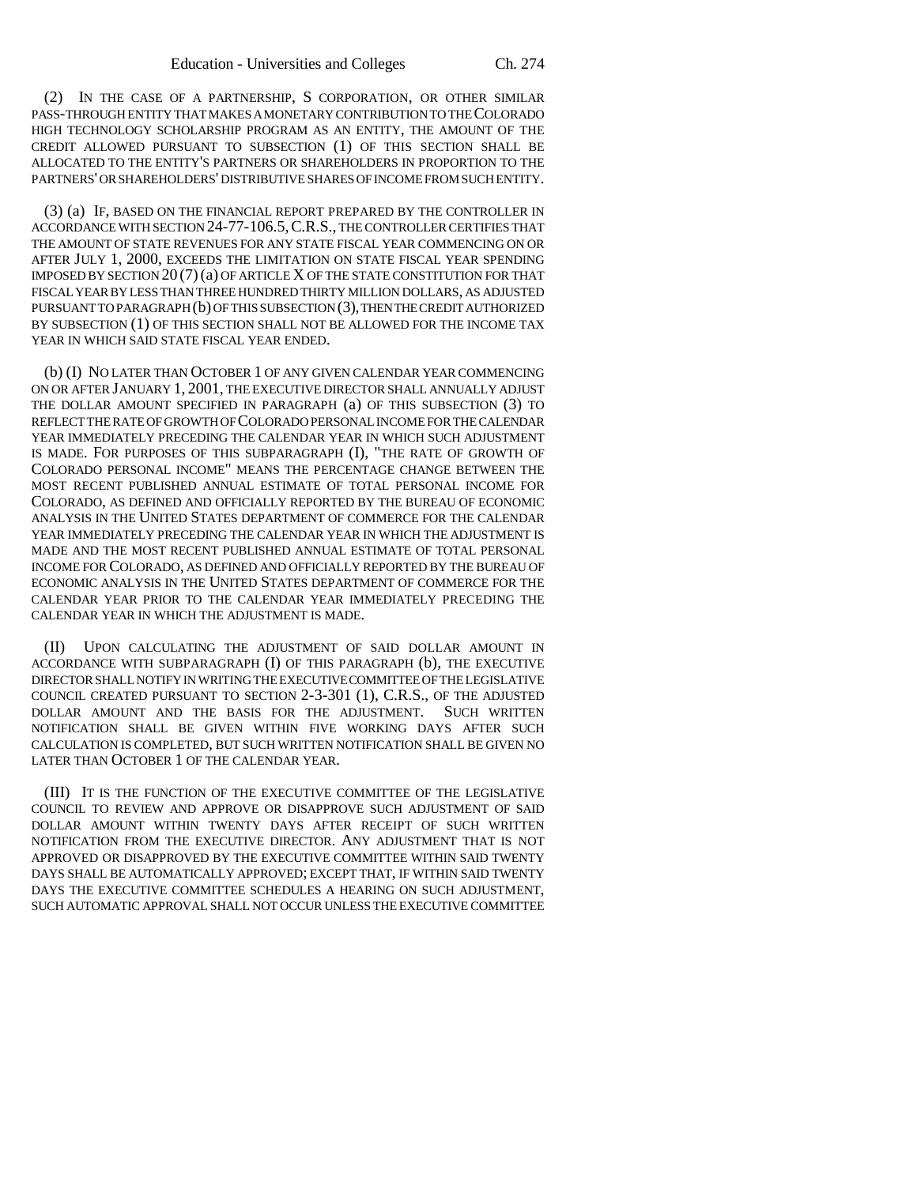(2) IN THE CASE OF A PARTNERSHIP, S CORPORATION, OR OTHER SIMILAR PASS-THROUGH ENTITY THAT MAKES A MONETARY CONTRIBUTION TO THE COLORADO HIGH TECHNOLOGY SCHOLARSHIP PROGRAM AS AN ENTITY, THE AMOUNT OF THE CREDIT ALLOWED PURSUANT TO SUBSECTION (1) OF THIS SECTION SHALL BE ALLOCATED TO THE ENTITY'S PARTNERS OR SHAREHOLDERS IN PROPORTION TO THE PARTNERS' OR SHAREHOLDERS' DISTRIBUTIVE SHARES OF INCOME FROM SUCH ENTITY.

(3) (a) IF, BASED ON THE FINANCIAL REPORT PREPARED BY THE CONTROLLER IN ACCORDANCE WITH SECTION 24-77-106.5,C.R.S., THE CONTROLLER CERTIFIES THAT THE AMOUNT OF STATE REVENUES FOR ANY STATE FISCAL YEAR COMMENCING ON OR AFTER JULY 1, 2000, EXCEEDS THE LIMITATION ON STATE FISCAL YEAR SPENDING IMPOSED BY SECTION  $20(7)(a)$  OF ARTICLE X OF THE STATE CONSTITUTION FOR THAT FISCAL YEAR BY LESS THAN THREE HUNDRED THIRTY MILLION DOLLARS, AS ADJUSTED PURSUANT TO PARAGRAPH (b) OF THIS SUBSECTION (3), THEN THE CREDIT AUTHORIZED BY SUBSECTION (1) OF THIS SECTION SHALL NOT BE ALLOWED FOR THE INCOME TAX YEAR IN WHICH SAID STATE FISCAL YEAR ENDED.

(b) (I) NO LATER THAN OCTOBER 1 OF ANY GIVEN CALENDAR YEAR COMMENCING ON OR AFTER JANUARY 1, 2001, THE EXECUTIVE DIRECTOR SHALL ANNUALLY ADJUST THE DOLLAR AMOUNT SPECIFIED IN PARAGRAPH (a) OF THIS SUBSECTION (3) TO REFLECT THE RATE OF GROWTH OF COLORADO PERSONAL INCOME FOR THE CALENDAR YEAR IMMEDIATELY PRECEDING THE CALENDAR YEAR IN WHICH SUCH ADJUSTMENT IS MADE. FOR PURPOSES OF THIS SUBPARAGRAPH (I), "THE RATE OF GROWTH OF COLORADO PERSONAL INCOME" MEANS THE PERCENTAGE CHANGE BETWEEN THE MOST RECENT PUBLISHED ANNUAL ESTIMATE OF TOTAL PERSONAL INCOME FOR COLORADO, AS DEFINED AND OFFICIALLY REPORTED BY THE BUREAU OF ECONOMIC ANALYSIS IN THE UNITED STATES DEPARTMENT OF COMMERCE FOR THE CALENDAR YEAR IMMEDIATELY PRECEDING THE CALENDAR YEAR IN WHICH THE ADJUSTMENT IS MADE AND THE MOST RECENT PUBLISHED ANNUAL ESTIMATE OF TOTAL PERSONAL INCOME FOR COLORADO, AS DEFINED AND OFFICIALLY REPORTED BY THE BUREAU OF ECONOMIC ANALYSIS IN THE UNITED STATES DEPARTMENT OF COMMERCE FOR THE CALENDAR YEAR PRIOR TO THE CALENDAR YEAR IMMEDIATELY PRECEDING THE CALENDAR YEAR IN WHICH THE ADJUSTMENT IS MADE.

(II) UPON CALCULATING THE ADJUSTMENT OF SAID DOLLAR AMOUNT IN ACCORDANCE WITH SUBPARAGRAPH (I) OF THIS PARAGRAPH (b), THE EXECUTIVE DIRECTOR SHALL NOTIFY IN WRITING THE EXECUTIVE COMMITTEE OF THE LEGISLATIVE COUNCIL CREATED PURSUANT TO SECTION 2-3-301 (1), C.R.S., OF THE ADJUSTED DOLLAR AMOUNT AND THE BASIS FOR THE ADJUSTMENT. SUCH WRITTEN NOTIFICATION SHALL BE GIVEN WITHIN FIVE WORKING DAYS AFTER SUCH CALCULATION IS COMPLETED, BUT SUCH WRITTEN NOTIFICATION SHALL BE GIVEN NO LATER THAN OCTOBER 1 OF THE CALENDAR YEAR.

(III) IT IS THE FUNCTION OF THE EXECUTIVE COMMITTEE OF THE LEGISLATIVE COUNCIL TO REVIEW AND APPROVE OR DISAPPROVE SUCH ADJUSTMENT OF SAID DOLLAR AMOUNT WITHIN TWENTY DAYS AFTER RECEIPT OF SUCH WRITTEN NOTIFICATION FROM THE EXECUTIVE DIRECTOR. ANY ADJUSTMENT THAT IS NOT APPROVED OR DISAPPROVED BY THE EXECUTIVE COMMITTEE WITHIN SAID TWENTY DAYS SHALL BE AUTOMATICALLY APPROVED; EXCEPT THAT, IF WITHIN SAID TWENTY DAYS THE EXECUTIVE COMMITTEE SCHEDULES A HEARING ON SUCH ADJUSTMENT, SUCH AUTOMATIC APPROVAL SHALL NOT OCCUR UNLESS THE EXECUTIVE COMMITTEE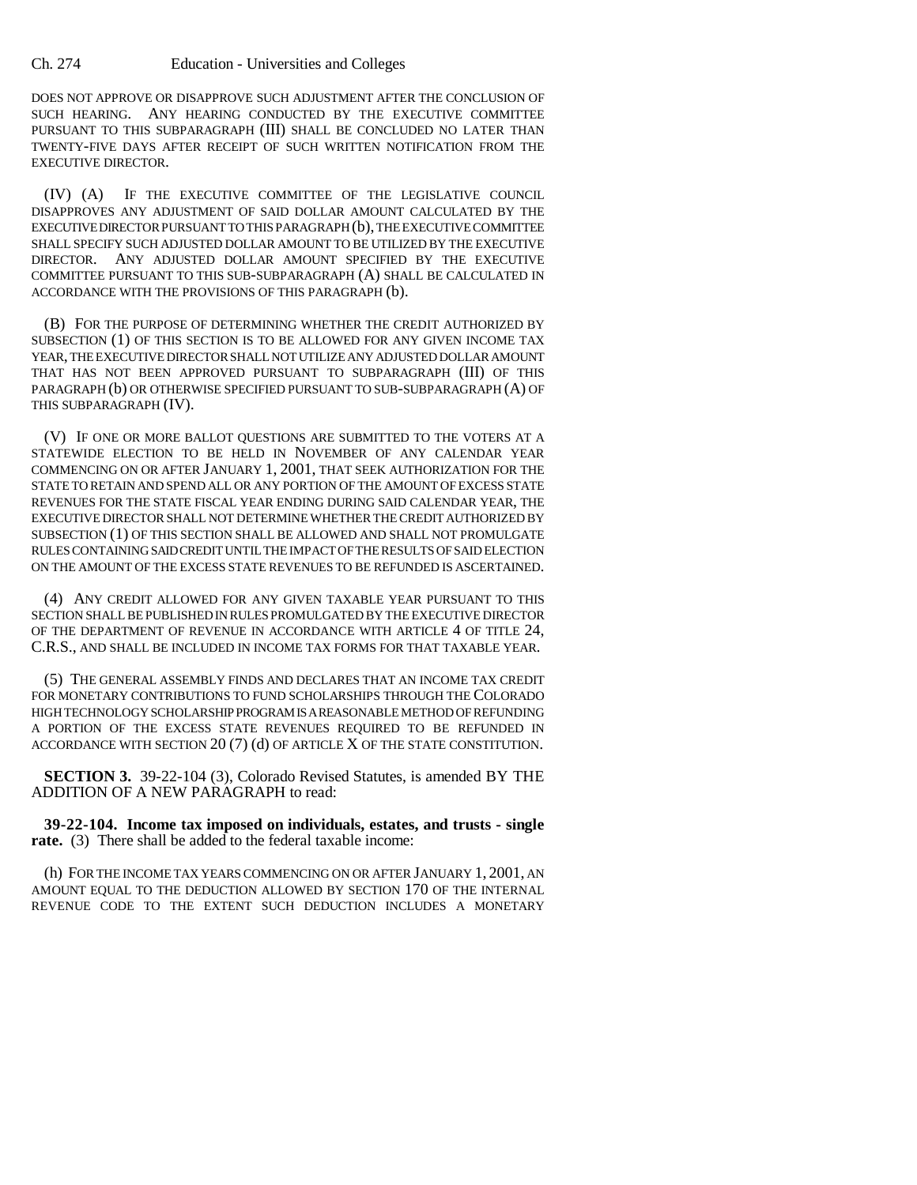DOES NOT APPROVE OR DISAPPROVE SUCH ADJUSTMENT AFTER THE CONCLUSION OF SUCH HEARING. ANY HEARING CONDUCTED BY THE EXECUTIVE COMMITTEE PURSUANT TO THIS SUBPARAGRAPH (III) SHALL BE CONCLUDED NO LATER THAN TWENTY-FIVE DAYS AFTER RECEIPT OF SUCH WRITTEN NOTIFICATION FROM THE EXECUTIVE DIRECTOR.

(IV) (A) IF THE EXECUTIVE COMMITTEE OF THE LEGISLATIVE COUNCIL DISAPPROVES ANY ADJUSTMENT OF SAID DOLLAR AMOUNT CALCULATED BY THE EXECUTIVE DIRECTOR PURSUANT TO THIS PARAGRAPH (b), THE EXECUTIVE COMMITTEE SHALL SPECIFY SUCH ADJUSTED DOLLAR AMOUNT TO BE UTILIZED BY THE EXECUTIVE DIRECTOR. ANY ADJUSTED DOLLAR AMOUNT SPECIFIED BY THE EXECUTIVE COMMITTEE PURSUANT TO THIS SUB-SUBPARAGRAPH (A) SHALL BE CALCULATED IN ACCORDANCE WITH THE PROVISIONS OF THIS PARAGRAPH (b).

(B) FOR THE PURPOSE OF DETERMINING WHETHER THE CREDIT AUTHORIZED BY SUBSECTION (1) OF THIS SECTION IS TO BE ALLOWED FOR ANY GIVEN INCOME TAX YEAR, THE EXECUTIVE DIRECTOR SHALL NOT UTILIZE ANY ADJUSTED DOLLAR AMOUNT THAT HAS NOT BEEN APPROVED PURSUANT TO SUBPARAGRAPH (III) OF THIS PARAGRAPH (b) OR OTHERWISE SPECIFIED PURSUANT TO SUB-SUBPARAGRAPH (A) OF THIS SUBPARAGRAPH (IV).

(V) IF ONE OR MORE BALLOT QUESTIONS ARE SUBMITTED TO THE VOTERS AT A STATEWIDE ELECTION TO BE HELD IN NOVEMBER OF ANY CALENDAR YEAR COMMENCING ON OR AFTER JANUARY 1, 2001, THAT SEEK AUTHORIZATION FOR THE STATE TO RETAIN AND SPEND ALL OR ANY PORTION OF THE AMOUNT OF EXCESS STATE REVENUES FOR THE STATE FISCAL YEAR ENDING DURING SAID CALENDAR YEAR, THE EXECUTIVE DIRECTOR SHALL NOT DETERMINE WHETHER THE CREDIT AUTHORIZED BY SUBSECTION (1) OF THIS SECTION SHALL BE ALLOWED AND SHALL NOT PROMULGATE RULES CONTAINING SAID CREDIT UNTIL THE IMPACT OF THE RESULTS OF SAID ELECTION ON THE AMOUNT OF THE EXCESS STATE REVENUES TO BE REFUNDED IS ASCERTAINED.

(4) ANY CREDIT ALLOWED FOR ANY GIVEN TAXABLE YEAR PURSUANT TO THIS SECTION SHALL BE PUBLISHED IN RULES PROMULGATED BY THE EXECUTIVE DIRECTOR OF THE DEPARTMENT OF REVENUE IN ACCORDANCE WITH ARTICLE 4 OF TITLE 24, C.R.S., AND SHALL BE INCLUDED IN INCOME TAX FORMS FOR THAT TAXABLE YEAR.

(5) THE GENERAL ASSEMBLY FINDS AND DECLARES THAT AN INCOME TAX CREDIT FOR MONETARY CONTRIBUTIONS TO FUND SCHOLARSHIPS THROUGH THE COLORADO HIGH TECHNOLOGY SCHOLARSHIP PROGRAM IS A REASONABLE METHOD OF REFUNDING A PORTION OF THE EXCESS STATE REVENUES REQUIRED TO BE REFUNDED IN ACCORDANCE WITH SECTION 20 (7) (d) OF ARTICLE X OF THE STATE CONSTITUTION.

**SECTION 3.** 39-22-104 (3), Colorado Revised Statutes, is amended BY THE ADDITION OF A NEW PARAGRAPH to read:

**39-22-104. Income tax imposed on individuals, estates, and trusts - single** rate. (3) There shall be added to the federal taxable income:

(h) FOR THE INCOME TAX YEARS COMMENCING ON OR AFTER JANUARY 1, 2001, AN AMOUNT EQUAL TO THE DEDUCTION ALLOWED BY SECTION 170 OF THE INTERNAL REVENUE CODE TO THE EXTENT SUCH DEDUCTION INCLUDES A MONETARY